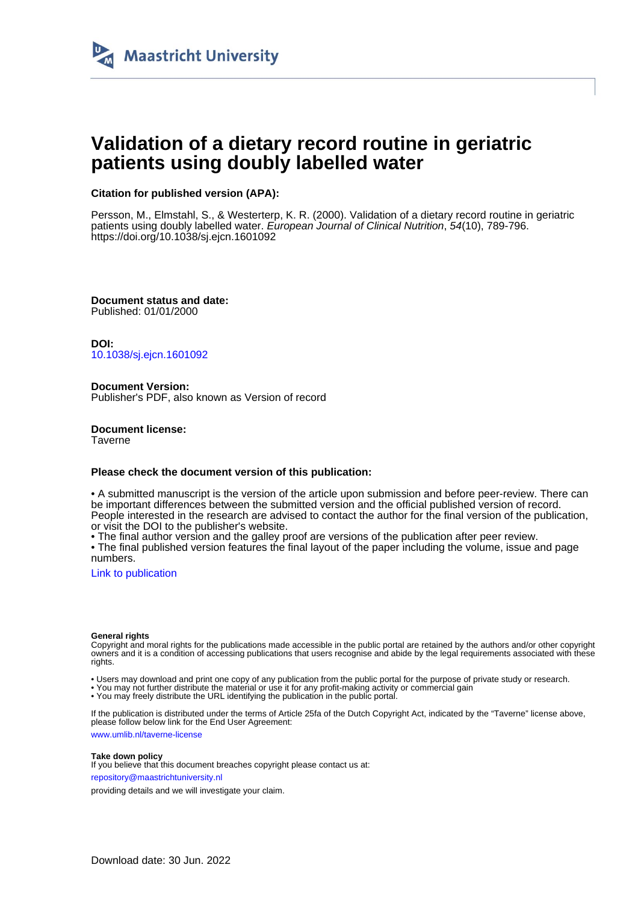

## **Validation of a dietary record routine in geriatric patients using doubly labelled water**

## **Citation for published version (APA):**

Persson, M., Elmstahl, S., & Westerterp, K. R. (2000). Validation of a dietary record routine in geriatric patients using doubly labelled water. European Journal of Clinical Nutrition, 54(10), 789-796. <https://doi.org/10.1038/sj.ejcn.1601092>

**Document status and date:** Published: 01/01/2000

**DOI:** [10.1038/sj.ejcn.1601092](https://doi.org/10.1038/sj.ejcn.1601092)

**Document Version:** Publisher's PDF, also known as Version of record

**Document license: Taverne** 

## **Please check the document version of this publication:**

• A submitted manuscript is the version of the article upon submission and before peer-review. There can be important differences between the submitted version and the official published version of record. People interested in the research are advised to contact the author for the final version of the publication, or visit the DOI to the publisher's website.

• The final author version and the galley proof are versions of the publication after peer review.

• The final published version features the final layout of the paper including the volume, issue and page numbers.

[Link to publication](https://cris.maastrichtuniversity.nl/en/publications/4f398288-2278-4ae8-80a7-1089fb749957)

#### **General rights**

Copyright and moral rights for the publications made accessible in the public portal are retained by the authors and/or other copyright owners and it is a condition of accessing publications that users recognise and abide by the legal requirements associated with these rights.

• Users may download and print one copy of any publication from the public portal for the purpose of private study or research.

• You may not further distribute the material or use it for any profit-making activity or commercial gain

• You may freely distribute the URL identifying the publication in the public portal.

If the publication is distributed under the terms of Article 25fa of the Dutch Copyright Act, indicated by the "Taverne" license above, please follow below link for the End User Agreement:

www.umlib.nl/taverne-license

#### **Take down policy**

If you believe that this document breaches copyright please contact us at: repository@maastrichtuniversity.nl

providing details and we will investigate your claim.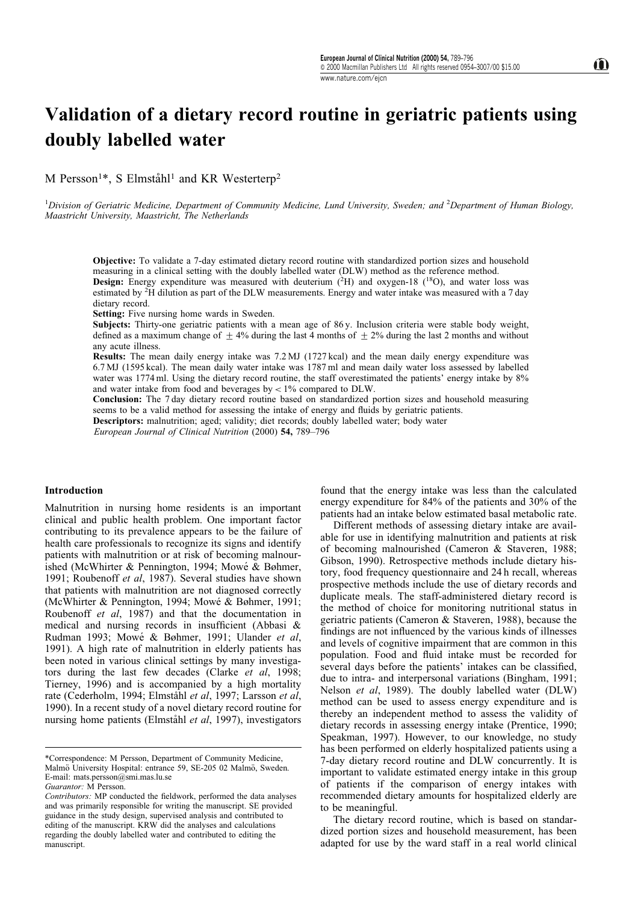# Validation of a dietary record routine in geriatric patients using doubly labelled water

M Persson<sup>1\*</sup>, S Elmståhl<sup>1</sup> and KR Westerterp<sup>2</sup>

<sup>1</sup>Division of Geriatric Medicine, Department of Community Medicine, Lund University, Sweden; and <sup>2</sup>Department of Human Biology, Maastricht University, Maastricht, The Netherlands

Objective: To validate a 7-day estimated dietary record routine with standardized portion sizes and household measuring in a clinical setting with the doubly labelled water (DLW) method as the reference method. **Design:** Energy expenditure was measured with deuterium  $(^{2}H)$  and oxygen-18  $(^{18}O)$ , and water loss was estimated by <sup>2</sup>H dilution as part of the DLW measurements. Energy and water intake was measured with a 7 day dietary record.

Setting: Five nursing home wards in Sweden.

Subjects: Thirty-one geriatric patients with a mean age of 86 y. Inclusion criteria were stable body weight, defined as a maximum change of  $\pm$  4% during the last 4 months of  $\pm$  2% during the last 2 months and without any acute illness.

Results: The mean daily energy intake was 7.2 MJ (1727 kcal) and the mean daily energy expenditure was 6.7 MJ (1595 kcal). The mean daily water intake was 1787 ml and mean daily water loss assessed by labelled water was 1774 ml. Using the dietary record routine, the staff overestimated the patients' energy intake by  $8\%$ and water intake from food and beverages by  $< 1\%$  compared to DLW.

Conclusion: The 7 day dietary record routine based on standardized portion sizes and household measuring seems to be a valid method for assessing the intake of energy and fluids by geriatric patients.

Descriptors: malnutrition; aged; validity; diet records; doubly labelled water; body water

European Journal of Clinical Nutrition (2000) 54, 789-796

## Introduction

Malnutrition in nursing home residents is an important clinical and public health problem. One important factor contributing to its prevalence appears to be the failure of health care professionals to recognize its signs and identify patients with malnutrition or at risk of becoming malnourished (McWhirter & Pennington, 1994; Mowé & Bøhmer, 1991; Roubenoff et al, 1987). Several studies have shown that patients with malnutrition are not diagnosed correctly (McWhirter & Pennington, 1994; Mowé & Bøhmer, 1991; Roubenoff et al, 1987) and that the documentation in medical and nursing records in insufficient (Abbasi  $\&$ Rudman 1993; Mowé & Bøhmer, 1991; Ulander et al, 1991). A high rate of malnutrition in elderly patients has been noted in various clinical settings by many investigators during the last few decades (Clarke et al, 1998; Tierney, 1996) and is accompanied by a high mortality rate (Cederholm, 1994; Elmståhl et al, 1997; Larsson et al, 1990). In a recent study of a novel dietary record routine for nursing home patients (Elmståhl et al, 1997), investigators

found that the energy intake was less than the calculated energy expenditure for 84% of the patients and 30% of the patients had an intake below estimated basal metabolic rate.

Different methods of assessing dietary intake are available for use in identifying malnutrition and patients at risk of becoming malnourished (Cameron & Staveren, 1988; Gibson, 1990). Retrospective methods include dietary history, food frequency questionnaire and 24 h recall, whereas prospective methods include the use of dietary records and duplicate meals. The staff-administered dietary record is the method of choice for monitoring nutritional status in geriatric patients (Cameron & Staveren, 1988), because the findings are not influenced by the various kinds of illnesses and levels of cognitive impairment that are common in this population. Food and fluid intake must be recorded for several days before the patients' intakes can be classified, due to intra- and interpersonal variations (Bingham, 1991; Nelson et al, 1989). The doubly labelled water (DLW) method can be used to assess energy expenditure and is thereby an independent method to assess the validity of dietary records in assessing energy intake (Prentice, 1990; Speakman, 1997). However, to our knowledge, no study has been performed on elderly hospitalized patients using a 7-day dietary record routine and DLW concurrently. It is important to validate estimated energy intake in this group of patients if the comparison of energy intakes with recommended dietary amounts for hospitalized elderly are to be meaningful.

The dietary record routine, which is based on standardized portion sizes and household measurement, has been adapted for use by the ward staff in a real world clinical

<sup>\*</sup>Correspondence: M Persson, Department of Community Medicine, Malmö University Hospital: entrance 59, SE-205 02 Malmö, Sweden. E-mail: mats.nersson@smi.mas.lu.se

Guarantor: M Persson.

Contributors: MP conducted the fieldwork, performed the data analyses and was primarily responsible for writing the manuscript. SE provided guidance in the study design, supervised analysis and contributed to editing of the manuscript. KRW did the analyses and calculations regarding the doubly labelled water and contributed to editing the manuscript.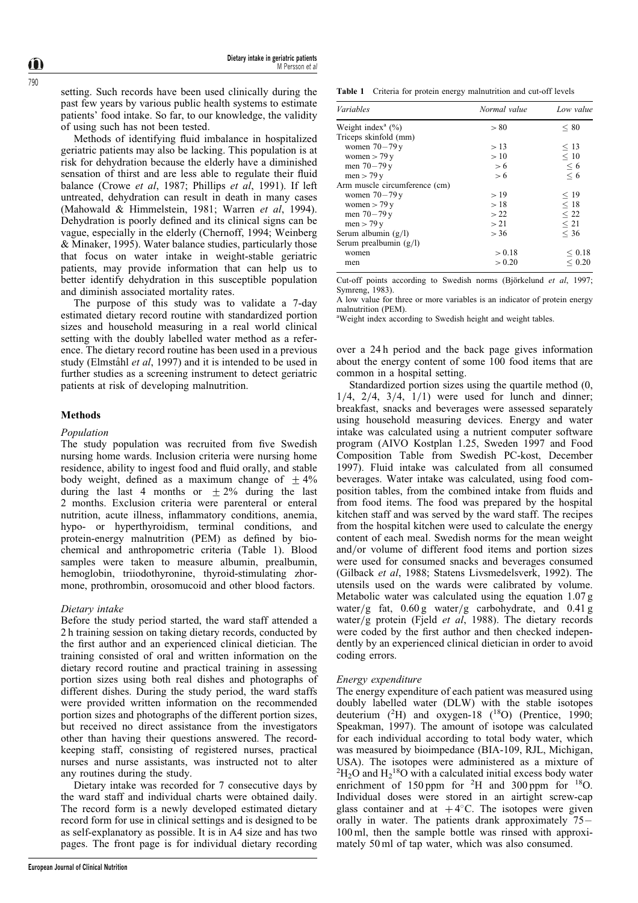setting. Such records have been used clinically during the past few years by various public health systems to estimate patients' food intake. So far, to our knowledge, the validity of using such has not been tested.

Methods of identifying fluid imbalance in hospitalized geriatric patients may also be lacking. This population is at risk for dehydration because the elderly have a diminished sensation of thirst and are less able to regulate their fluid balance (Crowe et al, 1987; Phillips et al, 1991). If left untreated, dehydration can result in death in many cases (Mahowald & Himmelstein, 1981; Warren et al, 1994). Dehydration is poorly defined and its clinical signs can be vague, especially in the elderly (Chernoff, 1994; Weinberg & Minaker, 1995). Water balance studies, particularly those that focus on water intake in weight-stable geriatric patients, may provide information that can help us to better identify dehydration in this susceptible population and diminish associated mortality rates.

The purpose of this study was to validate a 7-day estimated dietary record routine with standardized portion sizes and household measuring in a real world clinical setting with the doubly labelled water method as a reference. The dietary record routine has been used in a previous study (Elmståhl et al, 1997) and it is intended to be used in further studies as a screening instrument to detect geriatric patients at risk of developing malnutrition.

### Methods

### Population

The study population was recruited from five Swedish nursing home wards. Inclusion criteria were nursing home residence, ability to ingest food and fluid orally, and stable body weight, defined as a maximum change of  $\pm$  4% during the last 4 months or  $\pm 2\%$  during the last 2 months. Exclusion criteria were parenteral or enteral nutrition, acute illness, inflammatory conditions, anemia, hypo- or hyperthyroidism, terminal conditions, and protein-energy malnutrition (PEM) as defined by biochemical and anthropometric criteria (Table 1). Blood samples were taken to measure albumin, prealbumin, hemoglobin, triiodothyronine, thyroid-stimulating zhormone, prothrombin, orosomucoid and other blood factors.

## Dietary intake

Before the study period started, the ward staff attended a 2 h training session on taking dietary records, conducted by the first author and an experienced clinical dietician. The training consisted of oral and written information on the dietary record routine and practical training in assessing portion sizes using both real dishes and photographs of different dishes. During the study period, the ward staffs were provided written information on the recommended portion sizes and photographs of the different portion sizes, but received no direct assistance from the investigators other than having their questions answered. The recordkeeping staff, consisting of registered nurses, practical nurses and nurse assistants, was instructed not to alter any routines during the study.

Dietary intake was recorded for 7 consecutive days by the ward staff and individual charts were obtained daily. The record form is a newly developed estimated dietary record form for use in clinical settings and is designed to be as self-explanatory as possible. It is in A4 size and has two pages. The front page is for individual dietary recording

Table 1 Criteria for protein energy malnutrition and cut-off levels

| <b>Variables</b>                 | Normal value | Low value                 |
|----------------------------------|--------------|---------------------------|
| Weight index <sup>a</sup> $(\%)$ | > 80         | < 80                      |
| Triceps skinfold (mm)            |              |                           |
| women $70-79y$                   | >13          | $<$ 13                    |
| women $>$ 79 y                   | >10          | < 10                      |
| men $70 - 79y$                   | > 6          |                           |
| men $>$ 79 y                     | > 6          | $\stackrel{\leq}{\leq} 6$ |
| Arm muscle circumference (cm)    |              |                           |
| women $70-79y$                   | >19          | < 19                      |
| women $>$ 79 y                   | >18          | < 18                      |
| men $70 - 79y$                   | >22          | < 22                      |
| men $>$ 79 y                     | > 21         | $\leq 21$                 |
| Serum albumin $(g/l)$            | > 36         | < 36                      |
| Serum prealbumin $(g/l)$         |              |                           |
| women                            | > 0.18       | < 0.18                    |
| men                              | > 0.20       | ${}< 0.20$                |

Cut-off points according to Swedish norms (Biörkelund et al. 1997; Symreng, 1983).

A low value for three or more variables is an indicator of protein energy malnutrition (PEM).

<sup>a</sup>Weight index according to Swedish height and weight tables.

over a 24 h period and the back page gives information about the energy content of some 100 food items that are common in a hospital setting.

Standardized portion sizes using the quartile method (0,  $1/4$ ,  $2/4$ ,  $3/4$ ,  $1/1$ ) were used for lunch and dinner; breakfast, snacks and beverages were assessed separately using household measuring devices. Energy and water intake was calculated using a nutrient computer software program (AIVO Kostplan 1.25, Sweden 1997 and Food Composition Table from Swedish PC-kost, December 1997). Fluid intake was calculated from all consumed beverages. Water intake was calculated, using food composition tables, from the combined intake from fluids and from food items. The food was prepared by the hospital kitchen staff and was served by the ward staff. The recipes from the hospital kitchen were used to calculate the energy content of each meal. Swedish norms for the mean weight and/or volume of different food items and portion sizes were used for consumed snacks and beverages consumed (Gilback et al, 1988; Statens Livsmedelsverk, 1992). The utensils used on the wards were calibrated by volume. Metabolic water was calculated using the equation 1.07 g water/g fat,  $0.60 \text{ g}$  water/g carbohydrate, and  $0.41 \text{ g}$ water/g protein (Fjeld et al, 1988). The dietary records were coded by the first author and then checked independently by an experienced clinical dietician in order to avoid coding errors.

## Energy expenditure

The energy expenditure of each patient was measured using doubly labelled water (DLW) with the stable isotopes deuterium  $(^{2}H)$  and oxygen-18  $(^{18}O)$  (Prentice, 1990; Speakman, 1997). The amount of isotope was calculated for each individual according to total body water, which was measured by bioimpedance (BIA-109, RJL, Michigan, USA). The isotopes were administered as a mixture of  ${}^{2}H_{2}O$  and  $H_{2}{}^{18}O$  with a calculated initial excess body water enrichment of  $150 \text{ ppm}$  for <sup>2</sup>H and  $300 \text{ ppm}$  for <sup>18</sup>O. Individual doses were stored in an airtight screw-cap glass container and at  $+4^{\circ}$ C. The isotopes were given orally in water. The patients drank approximately  $75 -$ 100 ml, then the sample bottle was rinsed with approximately 50 ml of tap water, which was also consumed.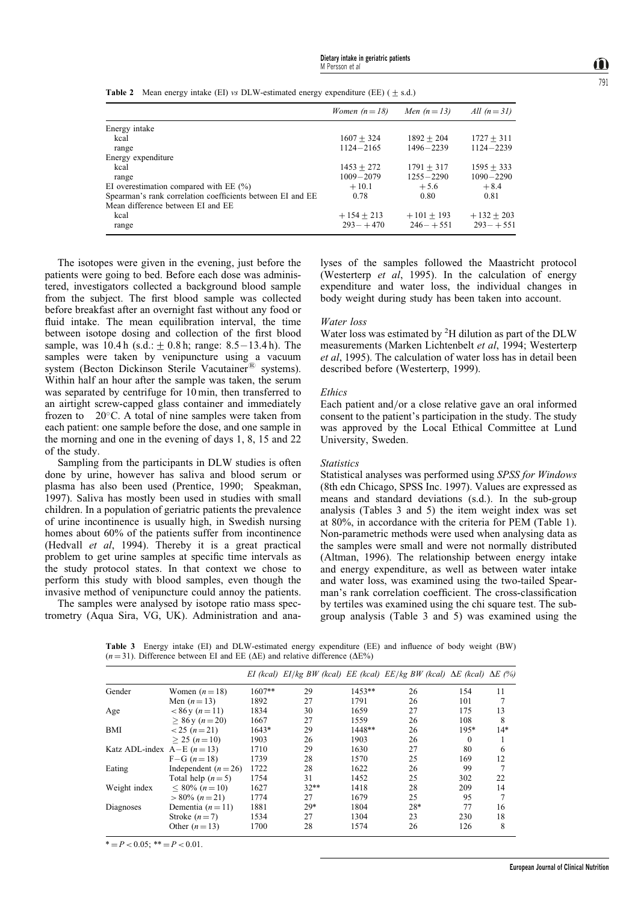**Table 2** Mean energy intake (EI) vs DLW-estimated energy expenditure (EE) ( $\pm$  s.d.)

|                                                            | Women $(n=18)$ | Men $(n=13)$  | All $(n=31)$  |
|------------------------------------------------------------|----------------|---------------|---------------|
| Energy intake                                              |                |               |               |
| kcal                                                       | $1607 + 324$   | $1892 + 204$  | $1727 + 311$  |
| range                                                      | $1124 - 2165$  | $1496 - 2239$ | $1124 - 2239$ |
| Energy expenditure                                         |                |               |               |
| kcal                                                       | $1453 + 272$   | $1791 + 317$  | $1595 + 333$  |
| range                                                      | $1009 - 2079$  | $1255 - 2290$ | $1090 - 2290$ |
| EI overestimation compared with EE $(\% )$                 | $+10.1$        | $+5.6$        | $+8.4$        |
| Spearman's rank correlation coefficients between EI and EE | 0.78           | 0.80          | 0.81          |
| Mean difference between EI and EE                          |                |               |               |
| kcal                                                       | $+154 + 213$   | $+101 + 193$  | $+132 + 203$  |
| range                                                      | $293 - +470$   | $246 - +551$  | $293 - +551$  |

The isotopes were given in the evening, just before the patients were going to bed. Before each dose was administered, investigators collected a background blood sample from the subject. The first blood sample was collected before breakfast after an overnight fast without any food or fluid intake. The mean equilibration interval, the time between isotope dosing and collection of the first blood sample, was  $10.4 h$  (s.d.:  $\pm 0.8 h$ ; range: 8.5 – 13.4 h). The samples were taken by venipuncture using a vacuum system (Becton Dickinson Sterile Vacutainer<sup>®</sup> systems). Within half an hour after the sample was taken, the serum was separated by centrifuge for  $10$  min, then transferred to an airtight screw-capped glass container and immediately frozen to  $20^{\circ}$ C. A total of nine samples were taken from each patient: one sample before the dose, and one sample in the morning and one in the evening of days 1, 8, 15 and 22 of the study.

Sampling from the participants in DLW studies is often done by urine, however has saliva and blood serum or plasma has also been used (Prentice, 1990; Speakman, 1997). Saliva has mostly been used in studies with small children. In a population of geriatric patients the prevalence of urine incontinence is usually high, in Swedish nursing homes about 60% of the patients suffer from incontinence (Hedvall et al, 1994). Thereby it is a great practical problem to get urine samples at specific time intervals as the study protocol states. In that context we chose to perform this study with blood samples, even though the invasive method of venipuncture could annoy the patients.

The samples were analysed by isotope ratio mass spectrometry (Aqua Sira, VG, UK). Administration and ana-

lyses of the samples followed the Maastricht protocol (Westerterp *et al*, 1995). In the calculation of energy expenditure and water loss, the individual changes in body weight during study has been taken into account.

## Water loss

Water loss was estimated by <sup>2</sup>H dilution as part of the DLW measurements (Marken Lichtenbelt et al, 1994; Westerterp et al, 1995). The calculation of water loss has in detail been described before (Westerterp, 1999).

#### Ethics

Each patient and/or a close relative gave an oral informed consent to the patient's participation in the study. The study was approved by the Local Ethical Committee at Lund University, Sweden.

#### **Statistics**

Statistical analyses was performed using SPSS for Windows (8th edn Chicago, SPSS Inc. 1997). Values are expressed as means and standard deviations (s.d.). In the sub-group analysis (Tables 3 and 5) the item weight index was set at 80%, in accordance with the criteria for PEM (Table 1). Non-parametric methods were used when analysing data as the samples were small and were not normally distributed (Altman, 1996). The relationship between energy intake and energy expenditure, as well as between water intake and water loss, was examined using the two-tailed Spearman's rank correlation coefficient. The cross-classification by tertiles was examined using the chi square test. The subgroup analysis (Table 3 and 5) was examined using the

Table 3 Energy intake (EI) and DLW-estimated energy expenditure (EE) and influence of body weight (BW)  $(n = 31)$ . Difference between EI and EE ( $\Delta E$ ) and relative difference ( $\Delta E\%$ )

|                                 |                      |          |        |          | EI (kcal) EI/kg BW (kcal) EE (kcal) EE/kg BW (kcal) $\Delta E$ (kcal) $\Delta E$ (%) |          |       |
|---------------------------------|----------------------|----------|--------|----------|--------------------------------------------------------------------------------------|----------|-------|
| Gender                          | Women $(n=18)$       | $1607**$ | 29     | $1453**$ | 26                                                                                   | 154      | 11    |
|                                 | Men $(n=13)$         | 1892     | 27     | 1791     | 26                                                                                   | 101      |       |
| Age                             | $< 86$ y (n = 11)    | 1834     | 30     | 1659     | 27                                                                                   | 175      | 13    |
|                                 | $> 86$ y (n = 20)    | 1667     | 27     | 1559     | 26                                                                                   | 108      | 8     |
| BMI                             | $< 25 (n=21)$        | $1643*$  | 29     | $1448**$ | 26                                                                                   | $195*$   | $14*$ |
|                                 | $> 25 (n=10)$        | 1903     | 26     | 1903     | 26                                                                                   | $\theta$ |       |
| Katz ADL-index $A-E$ ( $n=13$ ) |                      | 1710     | 29     | 1630     | 27                                                                                   | 80       | 6     |
|                                 | $F-G (n=18)$         | 1739     | 28     | 1570     | 25                                                                                   | 169      | 12    |
| Eating                          | Independent $(n=26)$ | 1722     | 28     | 1622     | 26                                                                                   | 99       | 7     |
|                                 | Total help $(n=5)$   | 1754     | 31     | 1452     | 25                                                                                   | 302      | 22    |
| Weight index                    | $< 80\%$ (n = 10)    | 1627     | $32**$ | 1418     | 28                                                                                   | 209      | 14    |
|                                 | $> 80\%$ (n = 21)    | 1774     | 27     | 1679     | 25                                                                                   | 95       | 7     |
| Diagnoses                       | Dementia $(n=11)$    | 1881     | 29*    | 1804     | 28*                                                                                  | 77       | 16    |
|                                 | Stroke $(n=7)$       | 1534     | 27     | 1304     | 23                                                                                   | 230      | 18    |
|                                 | Other $(n=13)$       | 1700     | 28     | 1574     | 26                                                                                   | 126      | 8     |

 $* = P < 0.05$ ;  $* = P < 0.01$ .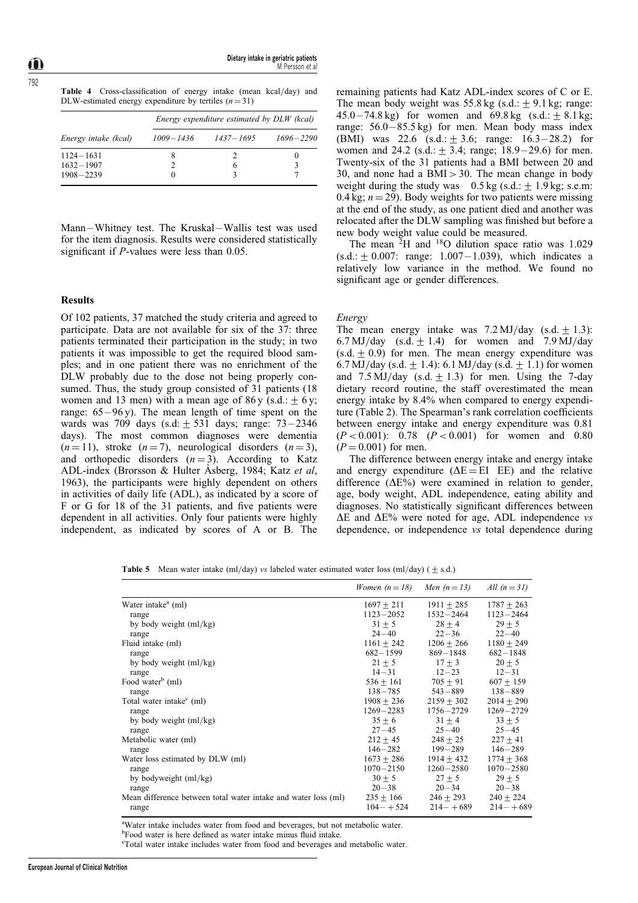Table 4 Cross-classification of energy intake (mean kcal/day) and DLW-estimated energy expenditure by tertiles  $(n = 31)$ 

|                      | Energy expenditure estimated by DLW (kcal) |               |               |  |  |  |
|----------------------|--------------------------------------------|---------------|---------------|--|--|--|
| Energy intake (kcal) | $1009 - 1436$                              | $1437 - 1695$ | $1696 - 2290$ |  |  |  |
| $1124 - 1631$        | 8                                          |               |               |  |  |  |
| $1632 - 1907$        |                                            | <sub>(</sub>  |               |  |  |  |
| $1908 - 2239$        |                                            |               |               |  |  |  |

Mann-Whitney test. The Kruskal-Wallis test was used for the item diagnosis. Results were considered statistically significant if  $P$ -values were less than 0.05.

## Results

Of 102 patients, 37 matched the study criteria and agreed to participate. Data are not available for six of the 37: three patients terminated their participation in the study; in two patients it was impossible to get the required blood samples; and in one patient there was no enrichment of the DLW probably due to the dose not being properly consumed. Thus, the study group consisted of 31 patients (18) women and 13 men) with a mean age of 86 y (s.d.:  $+6$  y; range:  $65 - 96$  y). The mean length of time spent on the wards was 709 days (s.d:  $\pm$  531 days; range: 73 - 2346 days). The most common diagnoses were dementia  $(n = 11)$ , stroke  $(n = 7)$ , neurological disorders  $(n = 3)$ , and orthopedic disorders  $(n = 3)$ . According to Katz ADL-index (Brorsson & Hulter Asberg, 1984; Katz et al, 1963), the participants were highly dependent on others in activities of daily life (ADL), as indicated by a score of F or G for 18 of the 31 patients, and five patients were dependent in all activities. Only four patients were highly independent, as indicated by scores of A or B. The

remaining patients had Katz ADL-index scores of C or E. The mean body weight was  $55.8 \text{ kg}$  (s.d.:  $\pm$  9.1 kg; range: 45.0 – 74.8 kg) for women and 69.8 kg (s.d.:  $\pm$  8.1 kg; range:  $56.0 - 85.5$  kg) for men. Mean body mass index (BMI) was 22.6  $(s.d.: \pm 3.6; \text{range}: 16.3-28.2)$  for women and 24.2 (s.d.:  $\pm$  3.4; range; 18.9–29.6) for men. Twenty-six of the 31 patients had a BMI between 20 and 30, and none had a  $BMI > 30$ . The mean change in body weight during the study was  $0.5 \text{ kg}$  (s.d.: + 1.9 kg; s.e.m: 0.4 kg;  $n = 29$ ). Body weights for two patients were missing at the end of the study, as one patient died and another was relocated after the DLW sampling was finished but before a new body weight value could be measured.

The mean  ${}^{2}H$  and  ${}^{18}O$  dilution space ratio was 1.029  $(s.d.: +0.007: range: 1.007 - 1.039)$ , which indicates a relatively low variance in the method. We found no significant age or gender differences.

### Energy

The mean energy intake was  $7.2 \text{ MJ/day}$  (s.d. + 1.3): 6.7 MJ/day (s.d.  $\pm$  1.4) for women and 7.9 MJ/day  $(s.d. \pm 0.9)$  for men. The mean energy expenditure was 6.7 MJ/day (s.d.  $\pm$  1.4): 6.1 MJ/day (s.d.  $\pm$  1.1) for women and  $7.5 \text{ MJ/day}$  (s.d.  $\pm 1.3$ ) for men. Using the 7-day dietary record routine, the staff overestimated the mean energy intake by 8.4% when compared to energy expenditure (Table 2). The Spearman's rank correlation coefficients between energy intake and energy expenditure was 0.81  $(P < 0.001)$ : 0.78  $(P < 0.001)$  for women and 0.80  $(P = 0.001)$  for men.

The difference between energy intake and energy intake and energy expenditure ( $\Delta E = EI$  EE) and the relative difference  $(\Delta E)$  were examined in relation to gender, age, body weight, ADL independence, eating ability and diagnoses. No statistically significant differences between  $\Delta E$  and  $\Delta E$ % were noted for age, ADL independence vs dependence, or independence vs total dependence during

**Table 5** Mean water intake (ml/day) vs labeled water estimated water loss (ml/day) ( $\pm$  s.d.)

|                                                                | Women $(n=18)$ | Men $(n=13)$  | All $(n=31)$   |
|----------------------------------------------------------------|----------------|---------------|----------------|
| Water intake <sup>a</sup> (ml)                                 | $1697 + 211$   | $1911 + 285$  | $1787 \pm 263$ |
| range                                                          | $1123 - 2052$  | $1532 - 2464$ | $1123 - 2464$  |
| by body weight (ml/kg)                                         | $31 + 5$       | $28 + 4$      | $29 + 5$       |
| range                                                          | $24 - 40$      | $22 - 36$     | $22 - 40$      |
| Fluid intake (ml)                                              | $1161 + 242$   | $1206 + 266$  | $1180 + 249$   |
| range                                                          | $682 - 1599$   | $869 - 1848$  | $682 - 1848$   |
| by body weight (ml/kg)                                         | $21 + 5$       | $17 + 3$      | $20 + 5$       |
| range                                                          | $14 - 31$      | $12 - 23$     | $12 - 31$      |
| Food water <sup>b</sup> (ml)                                   | $536 + 161$    | $705 + 91$    | $607 + 159$    |
| range                                                          | $138 - 785$    | $543 - 889$   | $138 - 889$    |
| Total water intake <sup>c</sup> (ml)                           | $1908 + 236$   | $2159 + 302$  | $2014 \pm 290$ |
| range                                                          | $1269 - 2283$  | 1756-2729     | $1269 - 2729$  |
| by body weight (ml/kg)                                         | $35 + 6$       | $31 + 4$      | $33 + 5$       |
| range                                                          | $27 - 45$      | $25 - 40$     | $25 - 45$      |
| Metabolic water (ml)                                           | $212 + 45$     | $248 + 25$    | $227 \pm 41$   |
| range                                                          | $146 - 282$    | $199 - 289$   | $146 - 289$    |
| Water loss estimated by DLW (ml)                               | $1673 + 286$   | $1914 + 432$  | $1774 + 368$   |
| range                                                          | $1070 - 2150$  | $1260 - 2580$ | $1070 - 2580$  |
| by bodyweight (ml/kg)                                          | $30 + 5$       | $27 + 5$      | $29 + 5$       |
| range                                                          | $20 - 38$      | $20 - 34$     | $20 - 38$      |
| Mean difference between total water intake and water loss (ml) | $235 + 166$    | $246 + 293$   | $240 + 224$    |
| range                                                          | $104 - +524$   | $214 - +689$  | $214 - +689$   |

<sup>a</sup>Water intake includes water from food and beverages, but not metabolic water.

<sup>b</sup>Food water is here defined as water intake minus fluid intake.

c Total water intake includes water from food and beverages and metabolic water.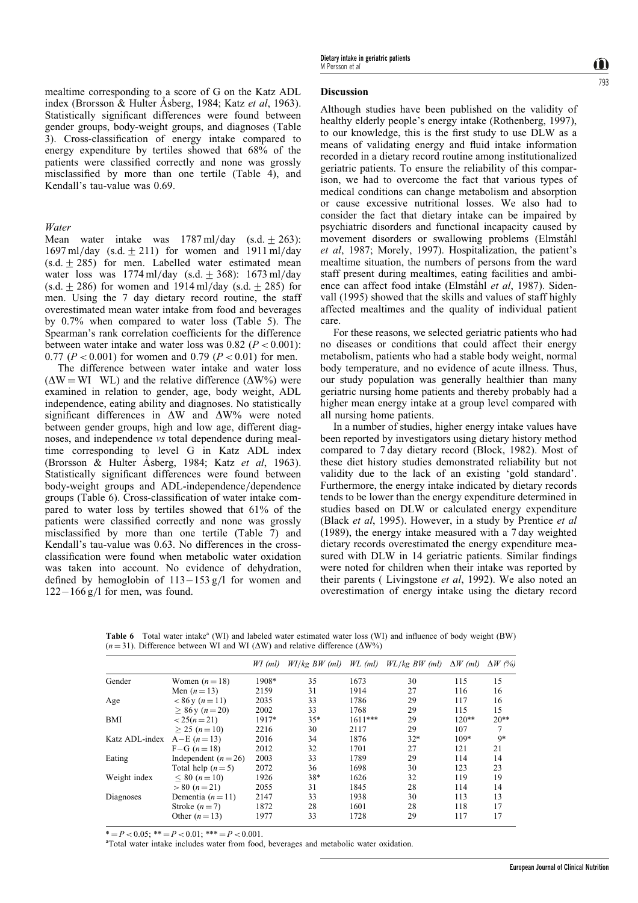mealtime corresponding to a score of G on the Katz ADL index (Brorsson & Hulter Åsberg, 1984; Katz et al, 1963). Statistically significant differences were found between gender groups, body-weight groups, and diagnoses (Table 3). Cross-classification of energy intake compared to energy expenditure by tertiles showed that 68% of the patients were classified correctly and none was grossly misclassified by more than one tertile (Table 4), and Kendall's tau-value was 0.69.

Water

Mean water intake was  $1787 \text{ ml/day}$  (s.d.  $\pm 263$ ): 1697 ml/day (s.d.  $\pm$  211) for women and 1911 ml/day  $(s.d. + 285)$  for men. Labelled water estimated mean water loss was  $1774 \text{ ml/day}$  (s.d.  $\pm$  368): 1673 ml/day  $(s.d. \pm 286)$  for women and 1914 ml/day  $(s.d. \pm 285)$  for men. Using the 7 day dietary record routine, the staff overestimated mean water intake from food and beverages by 0.7% when compared to water loss (Table 5). The Spearman's rank correlation coefficients for the difference between water intake and water loss was  $0.82$  ( $P < 0.001$ ): 0.77 ( $P < 0.001$ ) for women and 0.79 ( $P < 0.01$ ) for men.

The difference between water intake and water loss  $(\Delta W = W I \quad W I)$  and the relative difference  $(\Delta W\%)$  were examined in relation to gender, age, body weight, ADL independence, eating ability and diagnoses. No statistically significant differences in  $\Delta W$  and  $\Delta W$ % were noted between gender groups, high and low age, different diagnoses, and independence vs total dependence during mealtime corresponding to level G in Katz ADL index (Brorsson & Hulter Asberg, 1984; Katz et al, 1963). Statistically significant differences were found between body-weight groups and ADL-independence/dependence groups (Table 6). Cross-classification of water intake compared to water loss by tertiles showed that 61% of the patients were classified correctly and none was grossly misclassified by more than one tertile (Table 7) and Kendall's tau-value was 0.63. No differences in the crossclassification were found when metabolic water oxidation was taken into account. No evidence of dehydration, defined by hemoglobin of  $113 - 153$  g/l for women and  $122 - 166$  g/l for men, was found.

## Discussion

Although studies have been published on the validity of healthy elderly people's energy intake (Rothenberg, 1997), to our knowledge, this is the first study to use DLW as a means of validating energy and fluid intake information recorded in a dietary record routine among institutionalized geriatric patients. To ensure the reliability of this comparison, we had to overcome the fact that various types of medical conditions can change metabolism and absorption or cause excessive nutritional losses. We also had to consider the fact that dietary intake can be impaired by psychiatric disorders and functional incapacity caused by movement disorders or swallowing problems (Elmståhl et al, 1987; Morely, 1997). Hospitalization, the patient's mealtime situation, the numbers of persons from the ward staff present during mealtimes, eating facilities and ambience can affect food intake (Elmståhl et al, 1987). Sidenvall (1995) showed that the skills and values of staff highly affected mealtimes and the quality of individual patient care.

For these reasons, we selected geriatric patients who had no diseases or conditions that could affect their energy metabolism, patients who had a stable body weight, normal body temperature, and no evidence of acute illness. Thus, our study population was generally healthier than many geriatric nursing home patients and thereby probably had a higher mean energy intake at a group level compared with all nursing home patients.

In a number of studies, higher energy intake values have been reported by investigators using dietary history method compared to 7 day dietary record (Block, 1982). Most of these diet history studies demonstrated reliability but not validity due to the lack of an existing `gold standard'. Furthermore, the energy intake indicated by dietary records tends to be lower than the energy expenditure determined in studies based on DLW or calculated energy expenditure (Black et al, 1995). However, in a study by Prentice et al (1989), the energy intake measured with a 7 day weighted dietary records overestimated the energy expenditure measured with DLW in 14 geriatric patients. Similar findings were noted for children when their intake was reported by their parents ( Livingstone et al, 1992). We also noted an overestimation of energy intake using the dietary record

Table 6 Total water intake<sup>a</sup> (WI) and labeled water estimated water loss (WI) and influence of body weight (BW)  $(n = 31)$ . Difference between WI and WI ( $\Delta W$ ) and relative difference ( $\Delta W$ %)

|                |                      | $WI$ (ml) | $W1/kg$ BW (ml) | WL (ml)   | $W L/kg$ BW (ml) | $\Delta W$ (ml) | $\Delta W$ (%) |
|----------------|----------------------|-----------|-----------------|-----------|------------------|-----------------|----------------|
| Gender         | Women $(n=18)$       | 1908*     | 35              | 1673      | 30               | 115             | 15             |
|                | Men $(n=13)$         | 2159      | 31              | 1914      | 27               | 116             | 16             |
| Age            | $< 86$ y (n = 11)    | 2035      | 33              | 1786      | 29               | 117             | 16             |
|                | $> 86$ y (n = 20)    | 2002      | 33              | 1768      | 29               | 115             | 15             |
| BMI            | $< 25(n=21)$         | $1917*$   | $35*$           | $1611***$ | 29               | $120**$         | $20**$         |
|                | $> 25 (n=10)$        | 2216      | 30              | 2117      | 29               | 107             | 7              |
| Katz ADL-index | $A-E (n=13)$         | 2016      | 34              | 1876      | $32*$            | 109*            | $9*$           |
|                | $F-G (n=18)$         | 2012      | 32              | 1701      | 27               | 121             | 21             |
| Eating         | Independent $(n=26)$ | 2003      | 33              | 1789      | 29               | 114             | 14             |
|                | Total help $(n=5)$   | 2072      | 36              | 1698      | 30               | 123             | 23             |
| Weight index   | $< 80 \ (n=10)$      | 1926      | $38*$           | 1626      | 32               | 119             | 19             |
|                | $> 80 (n=21)$        | 2055      | 31              | 1845      | 28               | 114             | 14             |
| Diagnoses      | Dementia $(n=11)$    | 2147      | 33              | 1938      | 30               | 113             | 13             |
|                | Stroke $(n=7)$       | 1872      | 28              | 1601      | 28               | 118             | 17             |
|                | Other $(n=13)$       | 1977      | 33              | 1728      | 29               | 117             | 17             |

 $* = P < 0.05$ ;  $* = P < 0.01$ ;  $* = P < 0.001$ .

Total water intake includes water from food, beverages and metabolic water oxidation.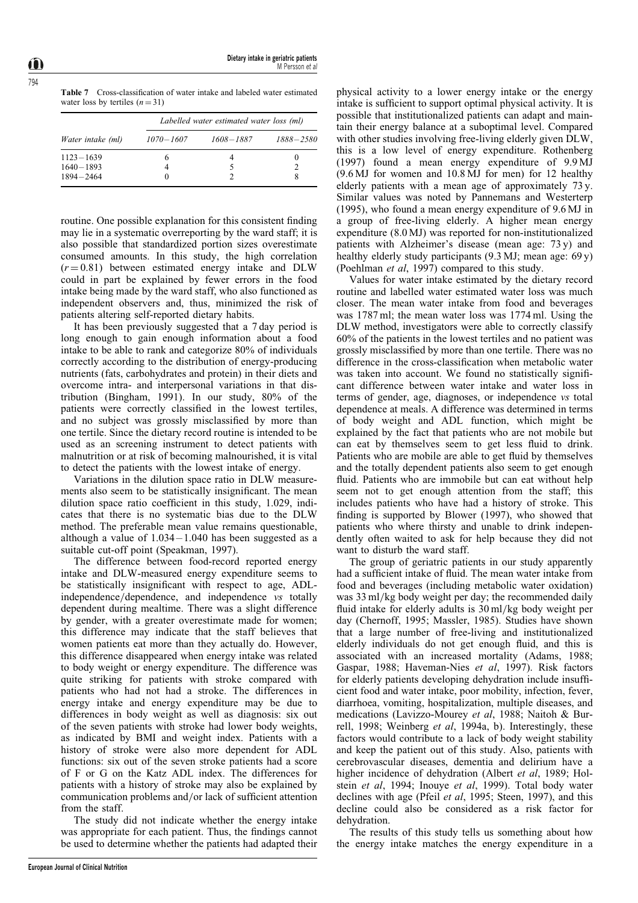Table 7 Cross-classification of water intake and labeled water estimated water loss by tertiles  $(n = 31)$ 

|                   | Labelled water estimated water loss (ml) |           |           |  |  |  |  |
|-------------------|------------------------------------------|-----------|-----------|--|--|--|--|
| Water intake (ml) | $1070 - 1607$                            | 1608-1887 | 1888-2580 |  |  |  |  |
| $1123 - 1639$     | n                                        |           | 0         |  |  |  |  |
| $1640 - 1893$     |                                          |           |           |  |  |  |  |
| 1894-2464         |                                          |           | 8         |  |  |  |  |

routine. One possible explanation for this consistent finding may lie in a systematic overreporting by the ward staff; it is also possible that standardized portion sizes overestimate consumed amounts. In this study, the high correlation  $(r = 0.81)$  between estimated energy intake and DLW could in part be explained by fewer errors in the food intake being made by the ward staff, who also functioned as independent observers and, thus, minimized the risk of patients altering self-reported dietary habits.

It has been previously suggested that a 7 day period is long enough to gain enough information about a food intake to be able to rank and categorize 80% of individuals correctly according to the distribution of energy-producing nutrients (fats, carbohydrates and protein) in their diets and overcome intra- and interpersonal variations in that distribution (Bingham, 1991). In our study, 80% of the patients were correctly classified in the lowest tertiles, and no subject was grossly misclassified by more than one tertile. Since the dietary record routine is intended to be used as an screening instrument to detect patients with malnutrition or at risk of becoming malnourished, it is vital to detect the patients with the lowest intake of energy.

Variations in the dilution space ratio in DLW measurements also seem to be statistically insignificant. The mean dilution space ratio coefficient in this study,  $1.029$ , indicates that there is no systematic bias due to the DLW method. The preferable mean value remains questionable, although a value of  $1.034 - 1.040$  has been suggested as a suitable cut-off point (Speakman, 1997).

The difference between food-record reported energy intake and DLW-measured energy expenditure seems to be statistically insignificant with respect to age, ADLindependence/dependence, and independence vs totally dependent during mealtime. There was a slight difference by gender, with a greater overestimate made for women; this difference may indicate that the staff believes that women patients eat more than they actually do. However, this difference disappeared when energy intake was related to body weight or energy expenditure. The difference was quite striking for patients with stroke compared with patients who had not had a stroke. The differences in energy intake and energy expenditure may be due to differences in body weight as well as diagnosis: six out of the seven patients with stroke had lower body weights, as indicated by BMI and weight index. Patients with a history of stroke were also more dependent for ADL functions: six out of the seven stroke patients had a score of F or G on the Katz ADL index. The differences for patients with a history of stroke may also be explained by communication problems and/or lack of sufficient attention from the staff.

The study did not indicate whether the energy intake was appropriate for each patient. Thus, the findings cannot be used to determine whether the patients had adapted their

physical activity to a lower energy intake or the energy intake is sufficient to support optimal physical activity. It is possible that institutionalized patients can adapt and maintain their energy balance at a suboptimal level. Compared with other studies involving free-living elderly given DLW, this is a low level of energy expenditure. Rothenberg (1997) found a mean energy expenditure of 9.9 MJ (9.6 MJ for women and 10.8 MJ for men) for 12 healthy elderly patients with a mean age of approximately 73 y. Similar values was noted by Pannemans and Westerterp (1995), who found a mean energy expenditure of 9.6 MJ in a group of free-living elderly. A higher mean energy expenditure (8.0 MJ) was reported for non-institutionalized patients with Alzheimer's disease (mean age: 73 y) and healthy elderly study participants (9.3 MJ; mean age: 69 y) (Poehlman et al, 1997) compared to this study.

Values for water intake estimated by the dietary record routine and labelled water estimated water loss was much closer. The mean water intake from food and beverages was 1787 ml; the mean water loss was 1774 ml. Using the DLW method, investigators were able to correctly classify 60% of the patients in the lowest tertiles and no patient was grossly misclassified by more than one tertile. There was no difference in the cross-classification when metabolic water was taken into account. We found no statistically significant difference between water intake and water loss in terms of gender, age, diagnoses, or independence vs total dependence at meals. A difference was determined in terms of body weight and ADL function, which might be explained by the fact that patients who are not mobile but can eat by themselves seem to get less fluid to drink. Patients who are mobile are able to get fluid by themselves and the totally dependent patients also seem to get enough fluid. Patients who are immobile but can eat without help seem not to get enough attention from the staff; this includes patients who have had a history of stroke. This finding is supported by Blower (1997), who showed that patients who where thirsty and unable to drink independently often waited to ask for help because they did not want to disturb the ward staff.

The group of geriatric patients in our study apparently had a sufficient intake of fluid. The mean water intake from food and beverages (including metabolic water oxidation) was 33 ml/kg body weight per day; the recommended daily fluid intake for elderly adults is  $30 \text{ ml/kg}$  body weight per day (Chernoff, 1995; Massler, 1985). Studies have shown that a large number of free-living and institutionalized elderly individuals do not get enough fluid, and this is associated with an increased mortality (Adams, 1988; Gaspar, 1988; Haveman-Nies et al, 1997). Risk factors for elderly patients developing dehydration include insufficient food and water intake, poor mobility, infection, fever, diarrhoea, vomiting, hospitalization, multiple diseases, and medications (Lavizzo-Mourey et al, 1988; Naitoh & Burrell, 1998; Weinberg et al, 1994a, b). Interestingly, these factors would contribute to a lack of body weight stability and keep the patient out of this study. Also, patients with cerebrovascular diseases, dementia and delirium have a higher incidence of dehydration (Albert et al, 1989; Holstein et al, 1994; Inouye et al, 1999). Total body water declines with age (Pfeil *et al*, 1995; Steen, 1997), and this decline could also be considered as a risk factor for dehydration.

The results of this study tells us something about how the energy intake matches the energy expenditure in a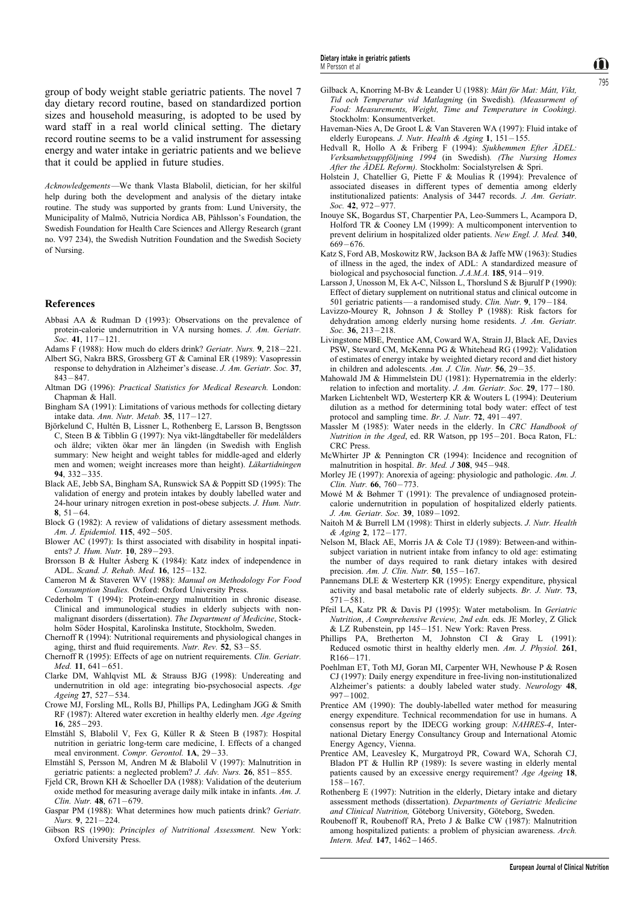Acknowledgements-We thank Vlasta Blabolil, dietician, for her skilful help during both the development and analysis of the dietary intake routine. The study was supported by grants from: Lund University, the Municipality of Malmö, Nutricia Nordica AB, Påhlsson's Foundation, the Swedish Foundation for Health Care Sciences and Allergy Research (grant no. V97 234), the Swedish Nutrition Foundation and the Swedish Society of Nursing.

#### References

- Abbasi AA & Rudman D (1993): Observations on the prevalence of protein-calorie undernutrition in VA nursing homes. J. Am. Geriatr.  $Soc.$  41, 117  $-121$ .
- Adams F (1988): How much do elders drink? Geriatr. Nurs.  $9, 218 221$ .
- Albert SG, Nakra BRS, Grossberg GT & Caminal ER (1989): Vasopressin response to dehydration in Alzheimer's disease. J. Am. Geriatr. Soc. 37,  $843 - 847.$
- Altman DG (1996): Practical Statistics for Medical Research. London: Chapman & Hall.
- Bingham SA (1991): Limitations of various methods for collecting dietary intake data. Ann. Nutr. Metab. 35,  $117 - 127$ .
- Björkelund C, Hultén B, Lissner L, Rothenberg E, Larsson B, Bengtsson C, Steen B & Tibblin G (1997): Nya vikt-längdtabeller för medelålders och äldre; vikten ökar mer än längden (in Swedish with English summary: New height and weight tables for middle-aged and elderly men and women; weight increases more than height). Läkartidningen  $94, 332 - 335$
- Black AE, Jebb SA, Bingham SA, Runswick SA & Poppitt SD (1995): The validation of energy and protein intakes by doubly labelled water and 24-hour urinary nitrogen exretion in post-obese subjects. J. Hum. Nutr. 8,  $51 - 64$ .
- Block G (1982): A review of validations of dietary assessment methods. Am. J. Epidemiol. 115, 492-505.
- Blower AC (1997): Is thirst associated with disability in hospital inpatients? *J. Hum. Nutr.*  $10, 289 - 293$ .
- Brorsson B & Hulter Åsberg K (1984): Katz index of independence in ADL. Scand. J. Rehab. Med. 16, 125-132.
- Cameron M & Staveren WV (1988): Manual on Methodology For Food Consumption Studies. Oxford: Oxford University Press.
- Cederholm T (1994): Protein-energy malnutrition in chronic disease. Clinical and immunological studies in elderly subjects with nonmalignant disorders (dissertation). The Department of Medicine, Stockholm Söder Hospital, Karolinska Institute, Stockholm, Sweden.
- Chernoff R (1994): Nutritional requirements and physiological changes in aging, thirst and fluid requirements. Nutr. Rev.  $52$ ,  $S3 - S5$ .
- Chernoff R (1995): Effects of age on nutrient requirements. Clin. Geriatr.  $Med. 11. 641 - 651.$
- Clarke DM, Wahlqvist ML & Strauss BJG (1998): Undereating and undernutrition in old age: integrating bio-psychosocial aspects. Age Ageing 27, 527-534.
- Crowe MJ, Forsling ML, Rolls BJ, Phillips PA, Ledingham JGG & Smith RF (1987): Altered water excretion in healthy elderly men. Age Ageing 16,  $285 - 293$ .
- Elmståhl S, Blabolil V, Fex G, Küller R & Steen B (1987): Hospital nutrition in geriatric long-term care medicine, I. Effects of a changed meal environment. Compr. Gerontol.  $1A$ ,  $29-33$ .
- Elmståhl S, Persson M, Andren M & Blabolil V (1997): Malnutrition in geriatric patients: a neglected problem? *J. Adv. Nurs.* **26**, 851 $-855$ .
- Field CR, Brown KH & Schoeller DA (1988): Validation of the deuterium oxide method for measuring average daily milk intake in infants. Am. J. Clin. Nutr.  $48.671 - 679$ .
- Gaspar PM (1988): What determines how much patients drink? Geriatr. Nurs.  $9, 221 - 224.$
- Gibson RS (1990): Principles of Nutritional Assessment. New York: Oxford University Press.
- Gilback A, Knorring M-Bv & Leander U (1988): Mått för Mat: Mátt, Vikt, Tid och Temperatur vid Matlagning (in Swedish). (Measurment of Food: Measurements, Weight, Time and Temperature in Cooking). Stockholm: Konsumentverket.
- Haveman-Nies A, De Groot L & Van Staveren WA (1997): Fluid intake of elderly Europeans. J. Nutr. Health & Aging  $1, 151-155$ .
- Hedvall R, Hollo A & Friberg F (1994): Sjukhemmen Efter ÄDEL: Verksamhetsuppföljning 1994 (in Swedish). (The Nursing Homes After the  $\ddot{A}$ DEL Reform). Stockholm: Socialstyrelsen & Spri.
- Holstein J, Chatellier G, Piette F & Moulias R (1994): Prevalence of associated diseases in different types of dementia among elderly institutionalized patients: Analysis of 3447 records. J. Am. Geriatr.  $Soc. 42. 972 - 977.$
- Inouye SK, Bogardus ST, Charpentier PA, Leo-Summers L, Acampora D, Holford TR & Cooney LM (1999): A multicomponent intervention to prevent delirium in hospitalized older patients. New Engl. J. Med. 340, 669  $-676$
- Katz S, Ford AB, Moskowitz RW, Jackson BA & Jaffe MW (1963): Studies of illness in the aged, the index of ADL: A standardized measure of biological and psychosocial function.  $J.A.M.A.$  185, 914-919.
- Larsson J, Unosson M, Ek A-C, Nilsson L, Thorslund S & Bjurulf P (1990): Effect of dietary supplement on nutritional status and clinical outcome in 501 geriatric patients—a randomised study. Clin. Nutr. 9,  $179-184$ .
- Lavizzo-Mourey R, Johnson J & Stolley P (1988): Risk factors for dehydration among elderly nursing home residents. J. Am. Geriatr. Soc. 36,  $213 - 218$ .
- Livingstone MBE, Prentice AM, Coward WA, Strain JJ, Black AE, Davies PSW, Steward CM, McKenna PG & Whitehead RG (1992): Validation of estimates of energy intake by weighted dietary record and diet history in children and adolescents. Am. J. Clin. Nutr.  $56$ ,  $29-35$ .
- Mahowald JM & Himmelstein DU (1981): Hypernatremia in the elderly: relation to infection and mortality. J. Am. Geriatr. Soc.  $29$ , 177-180.
- Marken Lichtenbelt WD, Westerterp KR & Wouters L (1994): Deuterium dilution as a method for determining total body water: effect of test protocol and sampling time. Br. J. Nutr.  $72$ ,  $491 - 497$ .
- Massler M (1985): Water needs in the elderly. In CRC Handbook of Nutrition in the Aged, ed. RR Watson, pp  $195-201$ . Boca Raton, FL: CRC Press.
- McWhirter JP & Pennington CR (1994): Incidence and recognition of malnutrition in hospital. Br. Med.  $J$  308, 945 - 948.
- Morley JE (1997): Anorexia of ageing: physiologic and pathologic. Am. J. Clin. Nutr. 66, 760-773.
- Mowe M & Bøhmer T (1991): The prevalence of undiagnosed proteincalorie undernutrition in population of hospitalized elderly patients. J. Am. Geriatr. Soc. 39, 1089-1092.
- Naitoh M & Burrell LM (1998): Thirst in elderly subjects. J. Nutr. Health & Aging 2, 172-177.
- Nelson M, Black AE, Morris JA & Cole TJ (1989): Between-and withinsubject variation in nutrient intake from infancy to old age: estimating the number of days required to rank dietary intakes with desired precision. Am. J. Clin. Nutr. 50, 155-167.
- Pannemans DLE & Westerterp KR (1995): Energy expenditure, physical activity and basal metabolic rate of elderly subjects. Br. J. Nutr. 73,  $571 - 581.$
- Pfeil LA, Katz PR & Davis PJ (1995): Water metabolism. In Geriatric Nutrition, A Comprehensive Review, 2nd edn. eds. JE Morley, Z Glick & LZ Rubenstein, pp 145-151. New York: Raven Press.
- Phillips PA, Bretherton M, Johnston CI & Gray L (1991): Reduced osmotic thirst in healthy elderly men. Am. J. Physiol. 261,  $R166 - 171$
- Poehlman ET, Toth MJ, Goran MI, Carpenter WH, Newhouse P & Rosen CJ (1997): Daily energy expenditure in free-living non-institutionalized Alzheimer's patients: a doubly labeled water study. Neurology 48,  $997 - 1002$ .
- Prentice AM (1990): The doubly-labelled water method for measuring energy expenditure. Technical recommendation for use in humans. A consensus report by the IDECG working group: NAHRES-4, International Dietary Energy Consultancy Group and International Atomic Energy Agency, Vienna.
- Prentice AM, Leavesley K, Murgatroyd PR, Coward WA, Schorah CJ, Bladon PT & Hullin RP (1989): Is severe wasting in elderly mental patients caused by an excessive energy requirement? Age Ageing 18,  $158 - 167.$
- Rothenberg E (1997): Nutrition in the elderly, Dietary intake and dietary assessment methods (dissertation). Departments of Geriatric Medicine and Clinical Nutrition, Göteborg University, Göteborg, Sweden.
- Roubenoff R, Roubenoff RA, Preto J & Balke CW (1987): Malnutrition among hospitalized patients: a problem of physician awareness. Arch. Intern. Med.  $147, 1462 - 1465$ .